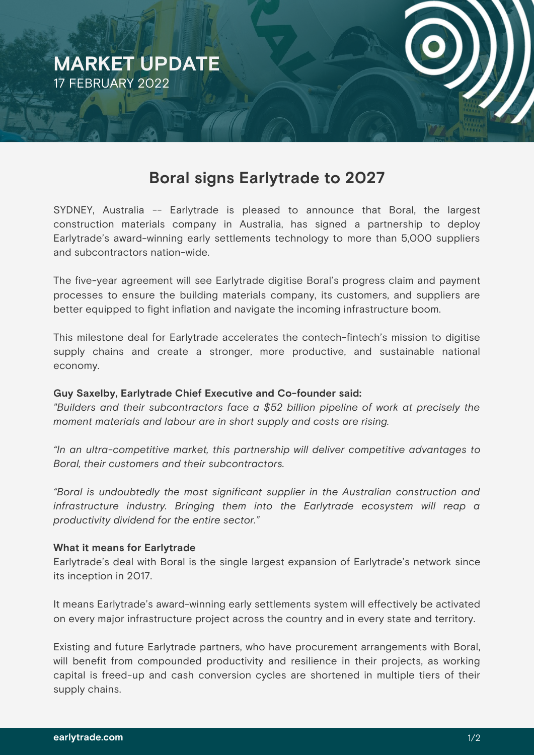

# **Boral signs Earlytrade to 2027**

SYDNEY, Australia -- Earlytrade is pleased to announce that Boral, the largest construction materials company in Australia, has signed a partnership to deploy Earlytrade's award-winning early settlements technology to more than 5,000 suppliers and subcontractors nation-wide.

The five-year agreement will see Earlytrade digitise Boral's progress claim and payment processes to ensure the building materials company, its customers, and suppliers are better equipped to fight inflation and navigate the incoming infrastructure boom.

This milestone deal for Earlytrade accelerates the contech-fintech's mission to digitise supply chains and create a stronger, more productive, and sustainable national economy.

## **Guy Saxelby, Earlytrade Chief Executive and Co-founder said:**

*"Builders and their subcontractors face a \$52 billion pipeline of work at precisely the moment materials and labour are in short supply and costs are rising.*

*"In an ultra-competitive market, this partnership will deliver competitive advantages to Boral, their customers and their subcontractors.*

*"Boral is undoubtedly the most significant supplier in the Australian construction and infrastructure industry. Bringing them into the Earlytrade ecosystem will reap a productivity dividend for the entire sector."*

## **What it means for Earlytrade**

Earlytrade's deal with Boral is the single largest expansion of Earlytrade's network since its inception in 2017.

It means Earlytrade's award-winning early settlements system will effectively be activated on every major infrastructure project across the country and in every state and territory.

Existing and future Earlytrade partners, who have procurement arrangements with Boral, will benefit from compounded productivity and resilience in their projects, as working capital is freed-up and cash conversion cycles are shortened in multiple tiers of their supply chains.